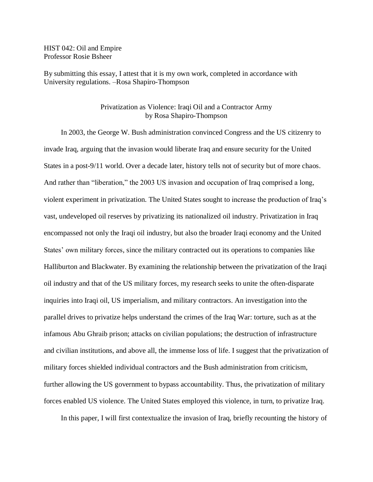HIST 042: Oil and Empire Professor Rosie Bsheer

By submitting this essay, I attest that it is my own work, completed in accordance with University regulations. –Rosa Shapiro-Thompson

## Privatization as Violence: Iraqi Oil and a Contractor Army by Rosa Shapiro-Thompson

In 2003, the George W. Bush administration convinced Congress and the US citizenry to invade Iraq, arguing that the invasion would liberate Iraq and ensure security for the United States in a post-9/11 world. Over a decade later, history tells not of security but of more chaos. And rather than "liberation," the 2003 US invasion and occupation of Iraq comprised a long, violent experiment in privatization. The United States sought to increase the production of Iraq's vast, undeveloped oil reserves by privatizing its nationalized oil industry. Privatization in Iraq encompassed not only the Iraqi oil industry, but also the broader Iraqi economy and the United States' own military forces, since the military contracted out its operations to companies like Halliburton and Blackwater. By examining the relationship between the privatization of the Iraqi oil industry and that of the US military forces, my research seeks to unite the often-disparate inquiries into Iraqi oil, US imperialism, and military contractors. An investigation into the parallel drives to privatize helps understand the crimes of the Iraq War: torture, such as at the infamous Abu Ghraib prison; attacks on civilian populations; the destruction of infrastructure and civilian institutions, and above all, the immense loss of life. I suggest that the privatization of military forces shielded individual contractors and the Bush administration from criticism, further allowing the US government to bypass accountability. Thus, the privatization of military forces enabled US violence. The United States employed this violence, in turn, to privatize Iraq.

In this paper, I will first contextualize the invasion of Iraq, briefly recounting the history of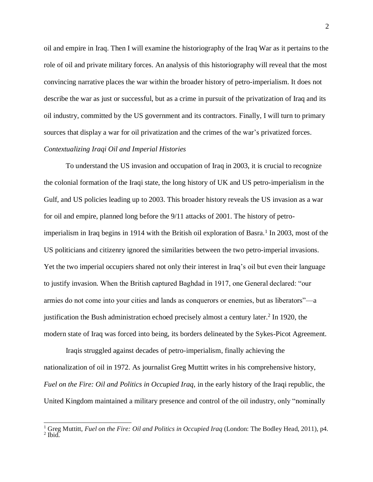oil and empire in Iraq. Then I will examine the historiography of the Iraq War as it pertains to the role of oil and private military forces. An analysis of this historiography will reveal that the most convincing narrative places the war within the broader history of petro-imperialism. It does not describe the war as just or successful, but as a crime in pursuit of the privatization of Iraq and its oil industry, committed by the US government and its contractors. Finally, I will turn to primary sources that display a war for oil privatization and the crimes of the war's privatized forces.

## *Contextualizing Iraqi Oil and Imperial Histories*

 $\overline{a}$ 

To understand the US invasion and occupation of Iraq in 2003, it is crucial to recognize the colonial formation of the Iraqi state, the long history of UK and US petro-imperialism in the Gulf, and US policies leading up to 2003. This broader history reveals the US invasion as a war for oil and empire, planned long before the 9/11 attacks of 2001. The history of petroimperialism in Iraq begins in 1914 with the British oil exploration of Basra.<sup>1</sup> In 2003, most of the US politicians and citizenry ignored the similarities between the two petro-imperial invasions. Yet the two imperial occupiers shared not only their interest in Iraq's oil but even their language to justify invasion. When the British captured Baghdad in 1917, one General declared: "our armies do not come into your cities and lands as conquerors or enemies, but as liberators"—a justification the Bush administration echoed precisely almost a century later.<sup>2</sup> In 1920, the modern state of Iraq was forced into being, its borders delineated by the Sykes-Picot Agreement.

Iraqis struggled against decades of petro-imperialism, finally achieving the nationalization of oil in 1972. As journalist Greg Muttitt writes in his comprehensive history, *Fuel on the Fire: Oil and Politics in Occupied Iraq,* in the early history of the Iraqi republic, the United Kingdom maintained a military presence and control of the oil industry, only "nominally

<sup>1</sup> Greg Muttitt, *Fuel on the Fire: Oil and Politics in Occupied Iraq* (London: The Bodley Head, 2011), p4.  $<sup>2</sup>$  Ibid.</sup>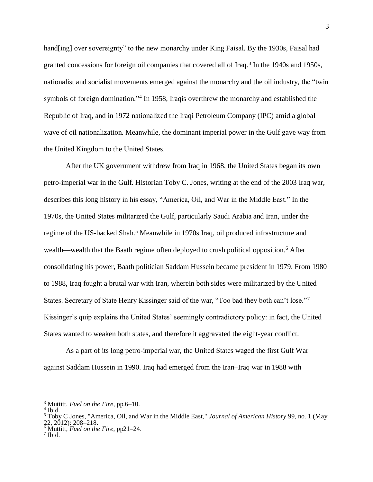hand[ing] over sovereignty" to the new monarchy under King Faisal. By the 1930s, Faisal had granted concessions for foreign oil companies that covered all of Iraq.<sup>3</sup> In the 1940s and 1950s, nationalist and socialist movements emerged against the monarchy and the oil industry, the "twin symbols of foreign domination."<sup>4</sup> In 1958, Iraqis overthrew the monarchy and established the Republic of Iraq, and in 1972 nationalized the Iraqi Petroleum Company (IPC) amid a global wave of oil nationalization. Meanwhile, the dominant imperial power in the Gulf gave way from the United Kingdom to the United States.

After the UK government withdrew from Iraq in 1968, the United States began its own petro-imperial war in the Gulf. Historian Toby C. Jones, writing at the end of the 2003 Iraq war, describes this long history in his essay, "America, Oil, and War in the Middle East." In the 1970s, the United States militarized the Gulf, particularly Saudi Arabia and Iran, under the regime of the US-backed Shah.<sup>5</sup> Meanwhile in 1970s Iraq, oil produced infrastructure and wealth—wealth that the Baath regime often deployed to crush political opposition.<sup>6</sup> After consolidating his power, Baath politician Saddam Hussein became president in 1979. From 1980 to 1988, Iraq fought a brutal war with Iran, wherein both sides were militarized by the United States. Secretary of State Henry Kissinger said of the war, "Too bad they both can't lose."<sup>7</sup> Kissinger's quip explains the United States' seemingly contradictory policy: in fact, the United States wanted to weaken both states, and therefore it aggravated the eight-year conflict.

As a part of its long petro-imperial war, the United States waged the first Gulf War against Saddam Hussein in 1990. Iraq had emerged from the Iran–Iraq war in 1988 with

<sup>3</sup> Muttitt, *Fuel on the Fire,* pp.6–10.

 $<sup>4</sup>$  Ibid.</sup>

<sup>5</sup> Toby C Jones, "America, Oil, and War in the Middle East," *Journal of American History* 99, no. 1 (May 22, 2012): 208–218.

<sup>6</sup> Muttitt, *Fuel on the Fire,* pp21–24.

<sup>7</sup> Ibid.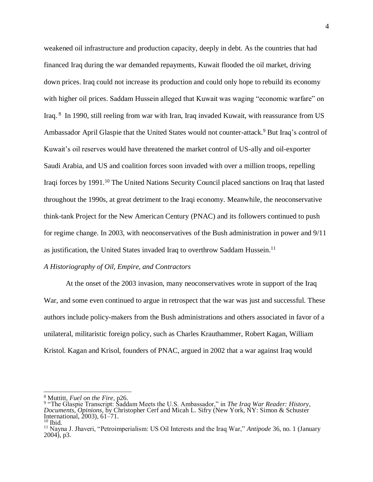weakened oil infrastructure and production capacity, deeply in debt. As the countries that had financed Iraq during the war demanded repayments, Kuwait flooded the oil market, driving down prices. Iraq could not increase its production and could only hope to rebuild its economy with higher oil prices. Saddam Hussein alleged that Kuwait was waging "economic warfare" on Iraq. <sup>8</sup> In 1990, still reeling from war with Iran, Iraq invaded Kuwait, with reassurance from US Ambassador April Glaspie that the United States would not counter-attack.<sup>9</sup> But Iraq's control of Kuwait's oil reserves would have threatened the market control of US-ally and oil-exporter Saudi Arabia, and US and coalition forces soon invaded with over a million troops, repelling Iraqi forces by 1991.<sup>10</sup> The United Nations Security Council placed sanctions on Iraq that lasted throughout the 1990s, at great detriment to the Iraqi economy. Meanwhile, the neoconservative think-tank Project for the New American Century (PNAC) and its followers continued to push for regime change. In 2003, with neoconservatives of the Bush administration in power and 9/11 as justification, the United States invaded Iraq to overthrow Saddam Hussein.<sup>11</sup>

## *A Historiography of Oil, Empire, and Contractors*

At the onset of the 2003 invasion, many neoconservatives wrote in support of the Iraq War, and some even continued to argue in retrospect that the war was just and successful. These authors include policy-makers from the Bush administrations and others associated in favor of a unilateral, militaristic foreign policy, such as Charles Krauthammer, Robert Kagan, William Kristol. Kagan and Krisol, founders of PNAC, argued in 2002 that a war against Iraq would

<sup>8</sup> Muttitt, *Fuel on the Fire,* p26. 9 "The Glaspie Transcript: Saddam Meets the U.S. Ambassador," in *The Iraq War Reader: History, Documents, Opinions*, by Christopher Cerf and Micah L. Sifry (New York, NY: Simon & Schuster International, 2003), 61–71.  $10$  Ibid.

<sup>11</sup> Nayna J. Jhaveri, "Petroimperialism: US Oil Interests and the Iraq War," *Antipode* 36, no. 1 (January 2004), p3.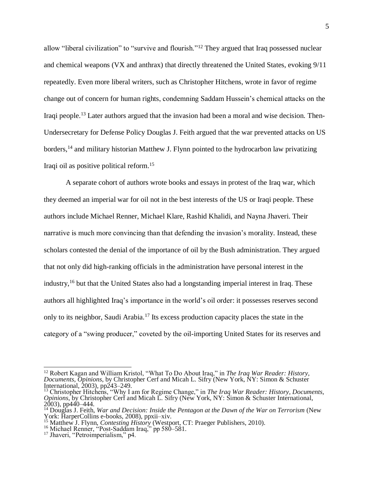allow "liberal civilization" to "survive and flourish."<sup>12</sup> They argued that Iraq possessed nuclear and chemical weapons (VX and anthrax) that directly threatened the United States, evoking 9/11 repeatedly. Even more liberal writers, such as Christopher Hitchens, wrote in favor of regime change out of concern for human rights, condemning Saddam Hussein's chemical attacks on the Iraqi people.<sup>13</sup> Later authors argued that the invasion had been a moral and wise decision. Then-Undersecretary for Defense Policy Douglas J. Feith argued that the war prevented attacks on US borders,<sup>14</sup> and military historian Matthew J. Flynn pointed to the hydrocarbon law privatizing Iraqi oil as positive political reform. 15

A separate cohort of authors wrote books and essays in protest of the Iraq war, which they deemed an imperial war for oil not in the best interests of the US or Iraqi people. These authors include Michael Renner, Michael Klare, Rashid Khalidi, and Nayna Jhaveri. Their narrative is much more convincing than that defending the invasion's morality. Instead, these scholars contested the denial of the importance of oil by the Bush administration. They argued that not only did high-ranking officials in the administration have personal interest in the industry,<sup>16</sup> but that the United States also had a longstanding imperial interest in Iraq. These authors all highlighted Iraq's importance in the world's oil order: it possesses reserves second only to its neighbor, Saudi Arabia.<sup>17</sup> Its excess production capacity places the state in the category of a "swing producer," coveted by the oil-importing United States for its reserves and

<sup>12</sup> Robert Kagan and William Kristol, "What To Do About Iraq," in *The Iraq War Reader: History, Documents, Opinions*, by Christopher Cerf and Micah L. Sifry (New York, NY: Simon & Schuster International, 2003), pp243–249.

<sup>&</sup>lt;sup>13</sup> Christopher Hitchens, "Why I am for Regime Change," in *The Iraq War Reader: History, Documents, Opinions*, by Christopher Cerf and Micah L. Sifry (New York, NY: Simon & Schuster International, 2003), pp440–444.

<sup>&</sup>lt;sup>14</sup> Douglas J. Feith, *War and Decision: Inside the Pentagon at the Dawn of the War on Terrorism* (New York: HarperCollins e-books, 2008), ppxii–xiv.

<sup>&</sup>lt;sup>15</sup> Matthew J. Flynn, *Contesting History* (Westport, CT: Praeger Publishers, 2010).

<sup>&</sup>lt;sup>16</sup> Michael Renner, "Post-Saddam Iraq," pp 580–581.

<sup>17</sup> Jhaveri, "Petroimperialism," p4.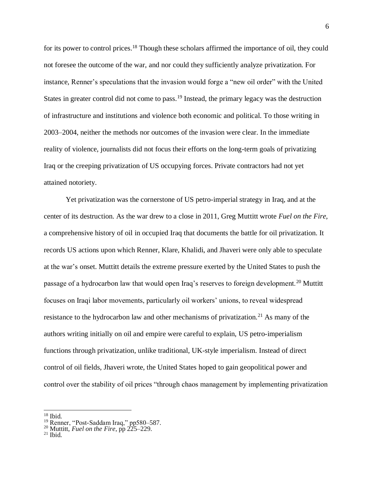for its power to control prices.<sup>18</sup> Though these scholars affirmed the importance of oil, they could not foresee the outcome of the war, and nor could they sufficiently analyze privatization. For instance, Renner's speculations that the invasion would forge a "new oil order" with the United States in greater control did not come to pass.<sup>19</sup> Instead, the primary legacy was the destruction of infrastructure and institutions and violence both economic and political. To those writing in 2003–2004, neither the methods nor outcomes of the invasion were clear. In the immediate reality of violence, journalists did not focus their efforts on the long-term goals of privatizing Iraq or the creeping privatization of US occupying forces. Private contractors had not yet attained notoriety.

Yet privatization was the cornerstone of US petro-imperial strategy in Iraq, and at the center of its destruction. As the war drew to a close in 2011, Greg Muttitt wrote *Fuel on the Fire,*  a comprehensive history of oil in occupied Iraq that documents the battle for oil privatization. It records US actions upon which Renner, Klare, Khalidi, and Jhaveri were only able to speculate at the war's onset. Muttitt details the extreme pressure exerted by the United States to push the passage of a hydrocarbon law that would open Iraq's reserves to foreign development.<sup>20</sup> Muttitt focuses on Iraqi labor movements, particularly oil workers' unions, to reveal widespread resistance to the hydrocarbon law and other mechanisms of privatization.<sup>21</sup> As many of the authors writing initially on oil and empire were careful to explain, US petro-imperialism functions through privatization, unlike traditional, UK-style imperialism. Instead of direct control of oil fields, Jhaveri wrote, the United States hoped to gain geopolitical power and control over the stability of oil prices "through chaos management by implementing privatization

 $\frac{18}{18}$  Ibid.

<sup>&</sup>lt;sup>19</sup> Renner, "Post-Saddam Iraq," pp580–587.

<sup>20</sup> Muttitt, *Fuel on the Fire*, pp 225–229.

 $21$  Ibid.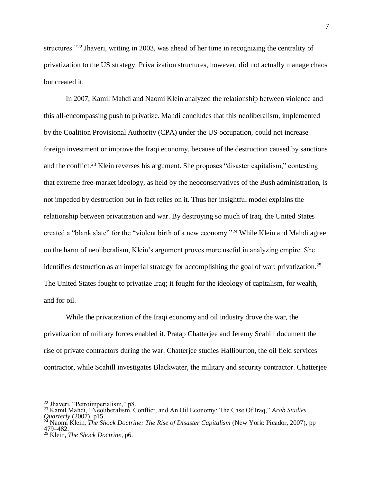structures."<sup>22</sup> Jhaveri, writing in 2003, was ahead of her time in recognizing the centrality of privatization to the US strategy. Privatization structures, however, did not actually manage chaos but created it.

In 2007, Kamil Mahdi and Naomi Klein analyzed the relationship between violence and this all-encompassing push to privatize. Mahdi concludes that this neoliberalism, implemented by the Coalition Provisional Authority (CPA) under the US occupation, could not increase foreign investment or improve the Iraqi economy, because of the destruction caused by sanctions and the conflict.<sup>23</sup> Klein reverses his argument. She proposes "disaster capitalism," contesting that extreme free-market ideology, as held by the neoconservatives of the Bush administration, is not impeded by destruction but in fact relies on it. Thus her insightful model explains the relationship between privatization and war. By destroying so much of Iraq, the United States created a "blank slate" for the "violent birth of a new economy."<sup>24</sup> While Klein and Mahdi agree on the harm of neoliberalism, Klein's argument proves more useful in analyzing empire. She identifies destruction as an imperial strategy for accomplishing the goal of war: privatization.<sup>25</sup> The United States fought to privatize Iraq; it fought for the ideology of capitalism, for wealth, and for oil.

While the privatization of the Iraqi economy and oil industry drove the war, the privatization of military forces enabled it. Pratap Chatterjee and Jeremy Scahill document the rise of private contractors during the war. Chatterjee studies Halliburton, the oil field services contractor, while Scahill investigates Blackwater, the military and security contractor. Chatterjee

 $^{22}$  Jhaveri, "Petroimperialism," p8.

<sup>23</sup> Kamil Mahdi, "Neoliberalism, Conflict, and An Oil Economy: The Case Of Iraq," *Arab Studies Quarterly* (2007), p15.

<sup>24</sup> Naomi Klein, *The Shock Doctrine: The Rise of Disaster Capitalism* (New York: Picador, 2007), pp 479–482.

<sup>25</sup> Klein, *The Shock Doctrine,* p6.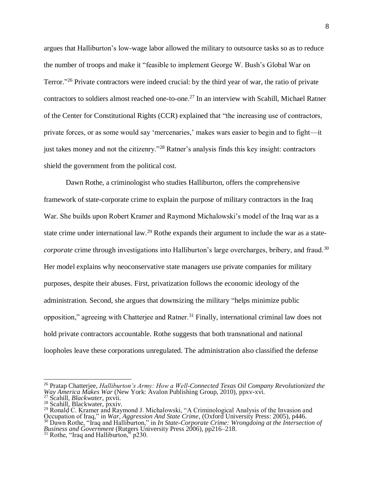argues that Halliburton's low-wage labor allowed the military to outsource tasks so as to reduce the number of troops and make it "feasible to implement George W. Bush's Global War on Terror."<sup>26</sup> Private contractors were indeed crucial: by the third year of war, the ratio of private contractors to soldiers almost reached one-to-one.<sup>27</sup> In an interview with Scahill, Michael Ratner of the Center for Constitutional Rights (CCR) explained that "the increasing use of contractors, private forces, or as some would say 'mercenaries,' makes wars easier to begin and to fight—it just takes money and not the citizenry."<sup>28</sup> Ratner's analysis finds this key insight: contractors shield the government from the political cost.

Dawn Rothe, a criminologist who studies Halliburton, offers the comprehensive framework of state-corporate crime to explain the purpose of military contractors in the Iraq War. She builds upon Robert Kramer and Raymond Michalowski's model of the Iraq war as a state crime under international law.<sup>29</sup> Rothe expands their argument to include the war as a state*corporate* crime through investigations into Halliburton's large overcharges, bribery, and fraud.<sup>30</sup> Her model explains why neoconservative state managers use private companies for military purposes, despite their abuses. First, privatization follows the economic ideology of the administration. Second, she argues that downsizing the military "helps minimize public opposition," agreeing with Chatterjee and Ratner.<sup>31</sup> Finally, international criminal law does not hold private contractors accountable. Rothe suggests that both transnational and national loopholes leave these corporations unregulated. The administration also classified the defense

<sup>26</sup> Pratap Chatterjee, *Halliburton's Army: How a Well-Connected Texas Oil Company Revolutionized the Way America Makes War* (New York: Avalon Publishing Group, 2010), ppxv-xvi.

<sup>27</sup> Scahill, *Blackwater,* pxvii.

<sup>&</sup>lt;sup>28</sup> Scahill, Blackwater, pxxiv.

<sup>&</sup>lt;sup>29</sup> Ronald C. Kramer and Raymond J. Michalowski, "A Criminological Analysis of the Invasion and Occupation of Iraq," in *War, Aggression And State Crime,* (Oxford University Press: 2005), p446. <sup>30</sup> Dawn Rothe, "Iraq and Halliburton," in *In State-Corporate Crime: Wrongdoing at the Intersection of Business and Government* (Rutgers University Press 2006), pp216–218.

 $31$  Rothe, "Iraq and Halliburton," p230.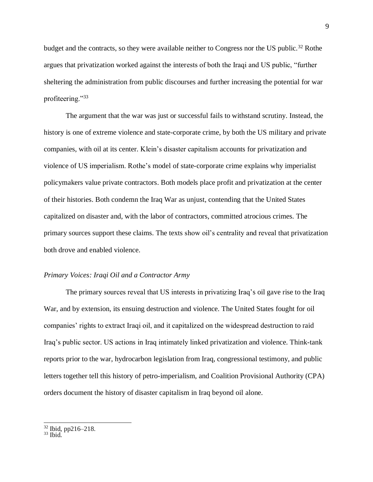budget and the contracts, so they were available neither to Congress nor the US public.<sup>32</sup> Rothe argues that privatization worked against the interests of both the Iraqi and US public, "further sheltering the administration from public discourses and further increasing the potential for war profiteering."<sup>33</sup>

The argument that the war was just or successful fails to withstand scrutiny. Instead, the history is one of extreme violence and state-corporate crime, by both the US military and private companies, with oil at its center. Klein's disaster capitalism accounts for privatization and violence of US imperialism. Rothe's model of state-corporate crime explains why imperialist policymakers value private contractors. Both models place profit and privatization at the center of their histories. Both condemn the Iraq War as unjust, contending that the United States capitalized on disaster and, with the labor of contractors, committed atrocious crimes. The primary sources support these claims. The texts show oil's centrality and reveal that privatization both drove and enabled violence.

### *Primary Voices: Iraqi Oil and a Contractor Army*

The primary sources reveal that US interests in privatizing Iraq's oil gave rise to the Iraq War, and by extension, its ensuing destruction and violence. The United States fought for oil companies' rights to extract Iraqi oil, and it capitalized on the widespread destruction to raid Iraq's public sector. US actions in Iraq intimately linked privatization and violence. Think-tank reports prior to the war, hydrocarbon legislation from Iraq, congressional testimony, and public letters together tell this history of petro-imperialism, and Coalition Provisional Authority (CPA) orders document the history of disaster capitalism in Iraq beyond oil alone.

 $\frac{32}{2}$  Ibid, pp216–218.

 $33$  Ibid.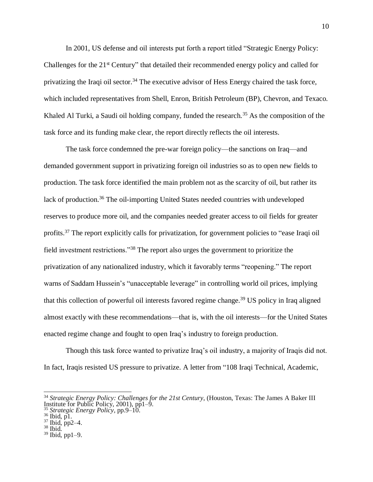In 2001, US defense and oil interests put forth a report titled "Strategic Energy Policy: Challenges for the 21<sup>st</sup> Century" that detailed their recommended energy policy and called for privatizing the Iraqi oil sector.<sup>34</sup> The executive advisor of Hess Energy chaired the task force, which included representatives from Shell, Enron, British Petroleum (BP), Chevron, and Texaco. Khaled Al Turki, a Saudi oil holding company, funded the research.<sup>35</sup> As the composition of the task force and its funding make clear, the report directly reflects the oil interests.

The task force condemned the pre-war foreign policy—the sanctions on Iraq—and demanded government support in privatizing foreign oil industries so as to open new fields to production. The task force identified the main problem not as the scarcity of oil, but rather its lack of production.<sup>36</sup> The oil-importing United States needed countries with undeveloped reserves to produce more oil, and the companies needed greater access to oil fields for greater profits.<sup>37</sup> The report explicitly calls for privatization, for government policies to "ease Iraqi oil field investment restrictions."<sup>38</sup> The report also urges the government to prioritize the privatization of any nationalized industry, which it favorably terms "reopening." The report warns of Saddam Hussein's "unacceptable leverage" in controlling world oil prices, implying that this collection of powerful oil interests favored regime change.<sup>39</sup> US policy in Iraq aligned almost exactly with these recommendations—that is, with the oil interests—for the United States enacted regime change and fought to open Iraq's industry to foreign production.

Though this task force wanted to privatize Iraq's oil industry, a majority of Iraqis did not. In fact, Iraqis resisted US pressure to privatize. A letter from "108 Iraqi Technical, Academic,

<sup>34</sup> *Strategic Energy Policy: Challenges for the 21st Century*, (Houston, Texas: The James A Baker III Institute for Public Policy, 2001), pp1–9.

<sup>35</sup> *Strategic Energy Policy,* pp.9–10.  $36$  Ibid, p1.

<sup>37</sup> Ibid, pp2–4. <sup>38</sup> Ibid.

 $39$  Ibid, pp1-9.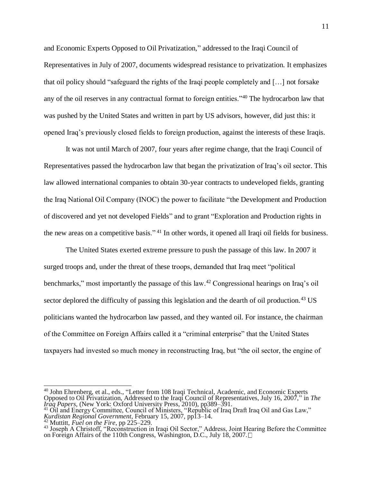and Economic Experts Opposed to Oil Privatization," addressed to the Iraqi Council of Representatives in July of 2007, documents widespread resistance to privatization. It emphasizes that oil policy should "safeguard the rights of the Iraqi people completely and […] not forsake any of the oil reserves in any contractual format to foreign entities."<sup>40</sup> The hydrocarbon law that was pushed by the United States and written in part by US advisors, however, did just this: it opened Iraq's previously closed fields to foreign production, against the interests of these Iraqis.

It was not until March of 2007, four years after regime change, that the Iraqi Council of Representatives passed the hydrocarbon law that began the privatization of Iraq's oil sector. This law allowed international companies to obtain 30-year contracts to undeveloped fields, granting the Iraq National Oil Company (INOC) the power to facilitate "the Development and Production of discovered and yet not developed Fields" and to grant "Exploration and Production rights in the new areas on a competitive basis." <sup>41</sup> In other words, it opened all Iraqi oil fields for business.

The United States exerted extreme pressure to push the passage of this law. In 2007 it surged troops and, under the threat of these troops, demanded that Iraq meet "political benchmarks," most importantly the passage of this law.<sup>42</sup> Congressional hearings on Iraq's oil sector deplored the difficulty of passing this legislation and the dearth of oil production.<sup>43</sup> US politicians wanted the hydrocarbon law passed, and they wanted oil. For instance, the chairman of the Committee on Foreign Affairs called it a "criminal enterprise" that the United States taxpayers had invested so much money in reconstructing Iraq, but "the oil sector, the engine of

<sup>40</sup> John Ehrenberg, et al., eds., "Letter from 108 Iraqi Technical, Academic, and Economic Experts Opposed to Oil Privatization, Addressed to the Iraqi Council of Representatives, July 16, 2007," in *The Iraq Papers*, (New York: Oxford University Press, 2010), pp389–391.

<sup>&</sup>lt;sup>41</sup> Oil and Energy Committee, Council of Ministers, "Republic of Iraq Draft Iraq Oil and Gas Law," *Kurdistan Regional Government,* February 15, 2007, pp13–14.

<sup>42</sup> Muttitt, *Fuel on the Fire*, pp 225–229.

<sup>&</sup>lt;sup>43</sup> Joseph A Christoff, "Reconstruction in Iraqi Oil Sector," Address, Joint Hearing Before the Committee on Foreign Affairs of the 110th Congress, Washington, D.C., July 18, 2007.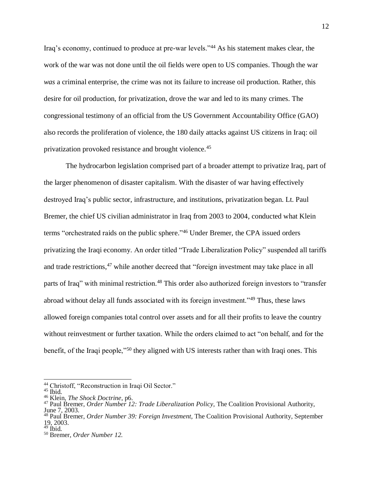Iraq's economy, continued to produce at pre-war levels."<sup>44</sup> As his statement makes clear, the work of the war was not done until the oil fields were open to US companies. Though the war *was* a criminal enterprise, the crime was not its failure to increase oil production. Rather, this desire for oil production, for privatization, drove the war and led to its many crimes. The congressional testimony of an official from the US Government Accountability Office (GAO) also records the proliferation of violence, the 180 daily attacks against US citizens in Iraq: oil privatization provoked resistance and brought violence.<sup>45</sup>

The hydrocarbon legislation comprised part of a broader attempt to privatize Iraq, part of the larger phenomenon of disaster capitalism. With the disaster of war having effectively destroyed Iraq's public sector, infrastructure, and institutions, privatization began. Lt. Paul Bremer, the chief US civilian administrator in Iraq from 2003 to 2004, conducted what Klein terms "orchestrated raids on the public sphere." <sup>46</sup> Under Bremer, the CPA issued orders privatizing the Iraqi economy. An order titled "Trade Liberalization Policy" suspended all tariffs and trade restrictions,<sup>47</sup> while another decreed that "foreign investment may take place in all parts of Iraq" with minimal restriction.<sup>48</sup> This order also authorized foreign investors to "transfer abroad without delay all funds associated with its foreign investment."<sup>49</sup> Thus, these laws allowed foreign companies total control over assets and for all their profits to leave the country without reinvestment or further taxation. While the orders claimed to act "on behalf, and for the benefit, of the Iraqi people,"<sup>50</sup> they aligned with US interests rather than with Iraqi ones. This

<sup>&</sup>lt;sup>44</sup> Christoff, "Reconstruction in Iraqi Oil Sector."

<sup>45</sup> Ibid.

<sup>46</sup> Klein, *The Shock Doctrine,* p6.

<sup>47</sup> Paul Bremer, *Order Number 12: Trade Liberalization Policy,* The Coalition Provisional Authority,

June 7, 2003.

<sup>48</sup> Paul Bremer, *Order Number 39: Foreign Investment,* The Coalition Provisional Authority, September 19, 2003.

 $49$  Ibid.

<sup>50</sup> Bremer, *Order Number 12.*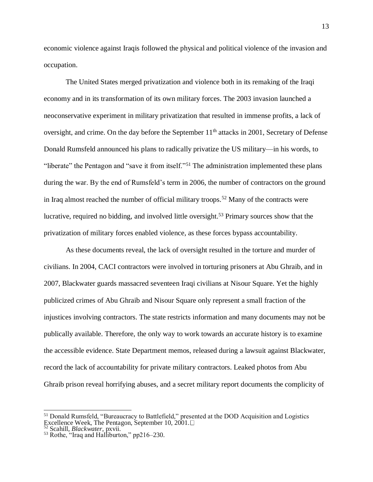economic violence against Iraqis followed the physical and political violence of the invasion and occupation.

The United States merged privatization and violence both in its remaking of the Iraqi economy and in its transformation of its own military forces. The 2003 invasion launched a neoconservative experiment in military privatization that resulted in immense profits, a lack of oversight, and crime. On the day before the September 11<sup>th</sup> attacks in 2001, Secretary of Defense Donald Rumsfeld announced his plans to radically privatize the US military—in his words, to "liberate" the Pentagon and "save it from itself."<sup>51</sup> The administration implemented these plans during the war. By the end of Rumsfeld's term in 2006, the number of contractors on the ground in Iraq almost reached the number of official military troops.<sup>52</sup> Many of the contracts were lucrative, required no bidding, and involved little oversight. <sup>53</sup> Primary sources show that the privatization of military forces enabled violence, as these forces bypass accountability.

As these documents reveal, the lack of oversight resulted in the torture and murder of civilians. In 2004, CACI contractors were involved in torturing prisoners at Abu Ghraib, and in 2007, Blackwater guards massacred seventeen Iraqi civilians at Nisour Square. Yet the highly publicized crimes of Abu Ghraib and Nisour Square only represent a small fraction of the injustices involving contractors. The state restricts information and many documents may not be publically available. Therefore, the only way to work towards an accurate history is to examine the accessible evidence. State Department memos, released during a lawsuit against Blackwater, record the lack of accountability for private military contractors. Leaked photos from Abu Ghraib prison reveal horrifying abuses, and a secret military report documents the complicity of

<sup>&</sup>lt;sup>51</sup> Donald Rumsfeld, "Bureaucracy to Battlefield," presented at the DOD Acquisition and Logistics Excellence Week, The Pentagon, September 10, 2001.

<sup>52</sup> Scahill, *Blackwater,* pxvii.

<sup>53</sup> Rothe, "Iraq and Halliburton," pp216–230.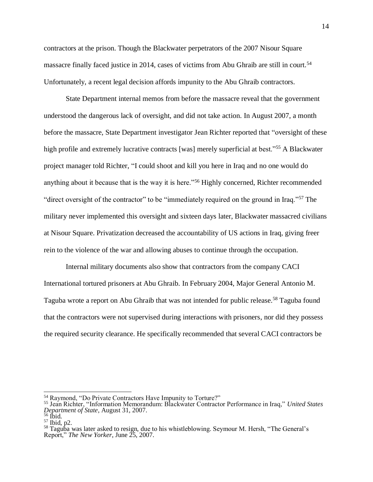contractors at the prison. Though the Blackwater perpetrators of the 2007 Nisour Square massacre finally faced justice in 2014, cases of victims from Abu Ghraib are still in court.<sup>54</sup> Unfortunately, a recent legal decision affords impunity to the Abu Ghraib contractors.

State Department internal memos from before the massacre reveal that the government understood the dangerous lack of oversight, and did not take action. In August 2007, a month before the massacre, State Department investigator Jean Richter reported that "oversight of these high profile and extremely lucrative contracts [was] merely superficial at best."<sup>55</sup> A Blackwater project manager told Richter, "I could shoot and kill you here in Iraq and no one would do anything about it because that is the way it is here."<sup>56</sup> Highly concerned, Richter recommended "direct oversight of the contractor" to be "immediately required on the ground in Iraq."<sup>57</sup> The military never implemented this oversight and sixteen days later, Blackwater massacred civilians at Nisour Square. Privatization decreased the accountability of US actions in Iraq, giving freer rein to the violence of the war and allowing abuses to continue through the occupation.

Internal military documents also show that contractors from the company CACI International tortured prisoners at Abu Ghraib. In February 2004, Major General Antonio M. Taguba wrote a report on Abu Ghraib that was not intended for public release.<sup>58</sup> Taguba found that the contractors were not supervised during interactions with prisoners, nor did they possess the required security clearance. He specifically recommended that several CACI contractors be

 $^{54}$  Raymond, "Do Private Contractors Have Impunity to Torture?"

<sup>55</sup> Jean Richter, "Information Memorandum: Blackwater Contractor Performance in Iraq," *United States Department of State*, August 31, 2007.

 $\frac{56}{1}$  Ibid.

<sup>57</sup> Ibid, p2.

<sup>&</sup>lt;sup>58</sup> Taguba was later asked to resign, due to his whistleblowing. Seymour M. Hersh, "The General's Report," *The New Yorker*, June 25, 2007.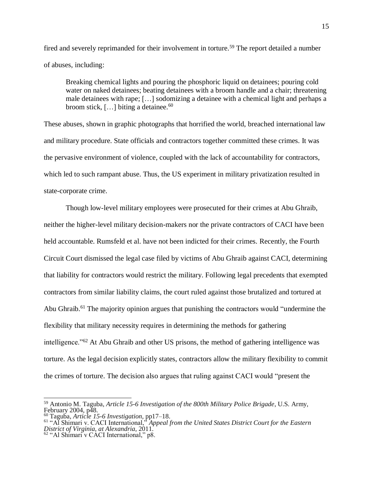fired and severely reprimanded for their involvement in torture.<sup>59</sup> The report detailed a number of abuses, including:

Breaking chemical lights and pouring the phosphoric liquid on detainees; pouring cold water on naked detainees; beating detainees with a broom handle and a chair; threatening male detainees with rape; […] sodomizing a detainee with a chemical light and perhaps a broom stick,  $[...]$  biting a detainee.<sup>60</sup>

These abuses, shown in graphic photographs that horrified the world, breached international law and military procedure. State officials and contractors together committed these crimes. It was the pervasive environment of violence, coupled with the lack of accountability for contractors, which led to such rampant abuse. Thus, the US experiment in military privatization resulted in state-corporate crime.

Though low-level military employees were prosecuted for their crimes at Abu Ghraib, neither the higher-level military decision-makers nor the private contractors of CACI have been held accountable. Rumsfeld et al. have not been indicted for their crimes. Recently, the Fourth Circuit Court dismissed the legal case filed by victims of Abu Ghraib against CACI, determining that liability for contractors would restrict the military. Following legal precedents that exempted contractors from similar liability claims, the court ruled against those brutalized and tortured at Abu Ghraib.<sup>61</sup> The majority opinion argues that punishing the contractors would "undermine the flexibility that military necessity requires in determining the methods for gathering intelligence."<sup>62</sup> At Abu Ghraib and other US prisons, the method of gathering intelligence was torture. As the legal decision explicitly states, contractors allow the military flexibility to commit the crimes of torture. The decision also argues that ruling against CACI would "present the

<sup>59</sup> Antonio M. Taguba, *Article 15-6 Investigation of the 800th Military Police Brigade*, U.S. Army, February 2004, p48.

<sup>60</sup> Taguba, *Article 15-6 Investigation,* pp17–18.

<sup>61</sup> "Al Shimari v. CACI International," *Appeal from the United States District Court for the Eastern District of Virginia, at Alexandria*, 2011.

 $62$  "Al Shimari v CACI International," p8.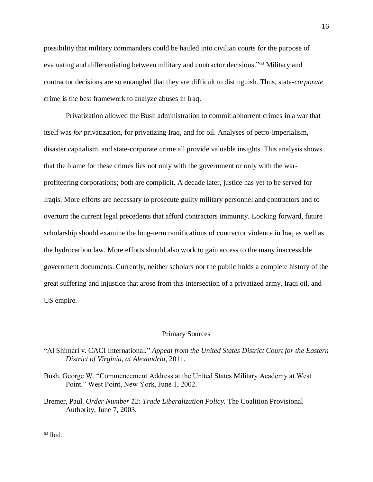possibility that military commanders could be hauled into civilian courts for the purpose of evaluating and differentiating between military and contractor decisions."<sup>63</sup> Military and contractor decisions are so entangled that they are difficult to distinguish. Thus, state-*corporate* crime is the best framework to analyze abuses in Iraq.

Privatization allowed the Bush administration to commit abhorrent crimes in a war that itself was *for* privatization, for privatizing Iraq, and for oil. Analyses of petro-imperialism, disaster capitalism, and state-corporate crime all provide valuable insights. This analysis shows that the blame for these crimes lies not only with the government or only with the warprofiteering corporations; both are complicit. A decade later, justice has yet to be served for Iraqis. More efforts are necessary to prosecute guilty military personnel and contractors and to overturn the current legal precedents that afford contractors immunity. Looking forward, future scholarship should examine the long-term ramifications of contractor violence in Iraq as well as the hydrocarbon law. More efforts should also work to gain access to the many inaccessible government documents. Currently, neither scholars nor the public holds a complete history of the great suffering and injustice that arose from this intersection of a privatized army, Iraqi oil, and US empire.

#### Primary Sources

# "Al Shimari v. CACI International." *Appeal from the United States District Court for the Eastern District of Virginia, at Alexandria*, 2011.

- Bush, George W. "Commencement Address at the United States Military Academy at West Point." West Point, New York, June 1, 2002.
- Bremer, Paul. *Order Number 12: Trade Liberalization Policy.* The Coalition Provisional Authority, June 7, 2003.

 $63$  Ibid.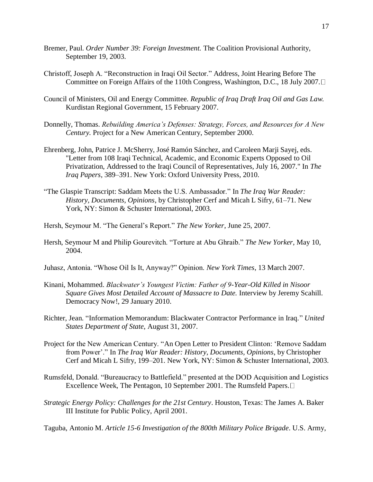- Bremer, Paul. *Order Number 39: Foreign Investment.* The Coalition Provisional Authority, September 19, 2003.
- Christoff, Joseph A. "Reconstruction in Iraqi Oil Sector." Address, Joint Hearing Before The Committee on Foreign Affairs of the 110th Congress, Washington, D.C., 18 July 2007.
- Council of Ministers, Oil and Energy Committee. *Republic of Iraq Draft Iraq Oil and Gas Law.*  Kurdistan Regional Government, 15 February 2007.
- Donnelly, Thomas. *Rebuilding America's Defenses: Strategy, Forces, and Resources for A New Century.* Project for a New American Century, September 2000.
- Ehrenberg, John, Patrice J. McSherry, José Ramón Sánchez, and Caroleen Marji Sayej, eds. "Letter from 108 Iraqi Technical, Academic, and Economic Experts Opposed to Oil Privatization, Addressed to the Iraqi Council of Representatives, July 16, 2007." In *The Iraq Papers*, 389–391. New York: Oxford University Press, 2010.
- "The Glaspie Transcript: Saddam Meets the U.S. Ambassador." In *The Iraq War Reader: History, Documents, Opinions*, by Christopher Cerf and Micah L Sifry, 61–71. New York, NY: Simon & Schuster International, 2003.
- Hersh, Seymour M. "The General's Report." *The New Yorker*, June 25, 2007.
- Hersh, Seymour M and Philip Gourevitch. "Torture at Abu Ghraib." *The New Yorker,* May 10, 2004.
- Juhasz, Antonia. "Whose Oil Is It, Anyway?" Opinion. *New York Times*, 13 March 2007.
- Kinani, Mohammed. *Blackwater's Youngest Victim: Father of 9-Year-Old Killed in Nisoor Square Gives Most Detailed Account of Massacre to Date.* Interview by Jeremy Scahill. Democracy Now!, 29 January 2010.
- Richter, Jean. "Information Memorandum: Blackwater Contractor Performance in Iraq." *United States Department of State*, August 31, 2007.
- Project for the New American Century. "An Open Letter to President Clinton: 'Remove Saddam from Power'." In *The Iraq War Reader: History, Documents, Opinions*, by Christopher Cerf and Micah L Sifry, 199–201. New York, NY: Simon & Schuster International, 2003.
- Rumsfeld, Donald. "Bureaucracy to Battlefield." presented at the DOD Acquisition and Logistics Excellence Week, The Pentagon, 10 September 2001. The Rumsfeld Papers.  $\Box$
- *Strategic Energy Policy: Challenges for the 21st Century*. Houston, Texas: The James A. Baker III Institute for Public Policy, April 2001.

Taguba, Antonio M. *Article 15-6 Investigation of the 800th Military Police Brigade*. U.S. Army,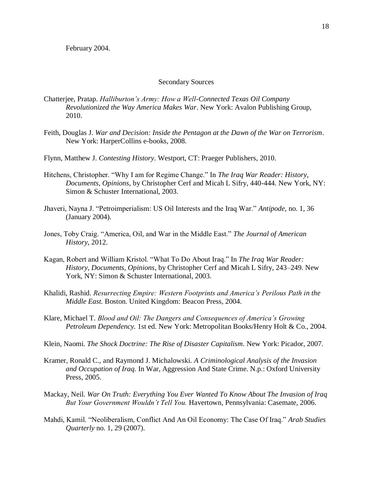February 2004.

### Secondary Sources

- Chatterjee, Pratap. *Halliburton's Army: How a Well-Connected Texas Oil Company Revolutionized the Way America Makes War*. New York: Avalon Publishing Group, 2010.
- Feith, Douglas J. *War and Decision: Inside the Pentagon at the Dawn of the War on Terrorism*. New York: HarperCollins e-books, 2008.
- Flynn, Matthew J. *Contesting History*. Westport, CT: Praeger Publishers, 2010.
- Hitchens, Christopher. "Why I am for Regime Change." In *The Iraq War Reader: History, Documents, Opinions*, by Christopher Cerf and Micah L Sifry, 440-444. New York, NY: Simon & Schuster International, 2003.
- Jhaveri, Nayna J. "Petroimperialism: US Oil Interests and the Iraq War." *Antipode*, no. 1, 36 (January 2004).
- Jones, Toby Craig. "America, Oil, and War in the Middle East." *The Journal of American History*, 2012.
- Kagan, Robert and William Kristol. "What To Do About Iraq." In *The Iraq War Reader: History, Documents, Opinions*, by Christopher Cerf and Micah L Sifry, 243–249. New York, NY: Simon & Schuster International, 2003.
- Khalidi, Rashid. *Resurrecting Empire: Western Footprints and America's Perilous Path in the Middle East.* Boston. United Kingdom: Beacon Press, 2004.
- Klare, Michael T. *Blood and Oil: The Dangers and Consequences of America's Growing Petroleum Dependency.* 1st ed. New York: Metropolitan Books/Henry Holt & Co., 2004.
- Klein, Naomi. *The Shock Doctrine: The Rise of Disaster Capitalism*. New York: Picador, 2007.
- Kramer, Ronald C., and Raymond J. Michalowski. *A Criminological Analysis of the Invasion and Occupation of Iraq.* In War, Aggression And State Crime. N.p.: Oxford University Press, 2005.
- Mackay, Neil. *War On Truth: Everything You Ever Wanted To Know About The Invasion of Iraq But Your Government Wouldn't Tell You.* Havertown, Pennsylvania: Casemate, 2006.
- Mahdi, Kamil. "Neoliberalism, Conflict And An Oil Economy: The Case Of Iraq." *Arab Studies Quarterly* no. 1, 29 (2007).